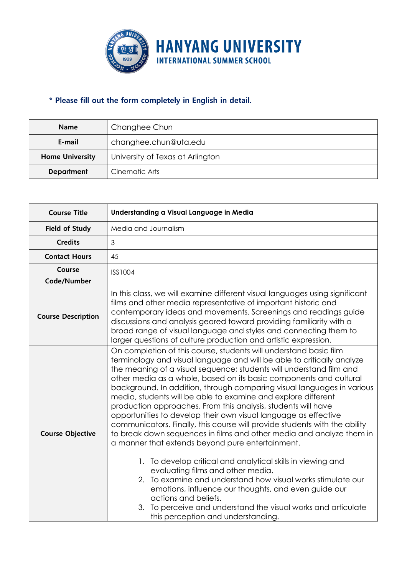

## **\* Please fill out the form completely in English in detail.**

| <b>Name</b>            | Changhee Chun                    |  |  |  |
|------------------------|----------------------------------|--|--|--|
| E-mail                 | changhee.chun@uta.edu            |  |  |  |
| <b>Home University</b> | University of Texas at Arlington |  |  |  |
| <b>Department</b>      | Cinematic Arts                   |  |  |  |

| <b>Course Title</b>       | Understanding a Visual Language in Media                                                                                                                                                                                                                                                                                                                                                                                                                                                                                                                                                                                                                                                                                                                                                                                                                                                                                                                                                                                                                                                                                                    |  |  |  |  |  |
|---------------------------|---------------------------------------------------------------------------------------------------------------------------------------------------------------------------------------------------------------------------------------------------------------------------------------------------------------------------------------------------------------------------------------------------------------------------------------------------------------------------------------------------------------------------------------------------------------------------------------------------------------------------------------------------------------------------------------------------------------------------------------------------------------------------------------------------------------------------------------------------------------------------------------------------------------------------------------------------------------------------------------------------------------------------------------------------------------------------------------------------------------------------------------------|--|--|--|--|--|
| <b>Field of Study</b>     | Media and Journalism                                                                                                                                                                                                                                                                                                                                                                                                                                                                                                                                                                                                                                                                                                                                                                                                                                                                                                                                                                                                                                                                                                                        |  |  |  |  |  |
| <b>Credits</b>            | 3                                                                                                                                                                                                                                                                                                                                                                                                                                                                                                                                                                                                                                                                                                                                                                                                                                                                                                                                                                                                                                                                                                                                           |  |  |  |  |  |
| <b>Contact Hours</b>      | 45                                                                                                                                                                                                                                                                                                                                                                                                                                                                                                                                                                                                                                                                                                                                                                                                                                                                                                                                                                                                                                                                                                                                          |  |  |  |  |  |
| Course                    | <b>ISS1004</b>                                                                                                                                                                                                                                                                                                                                                                                                                                                                                                                                                                                                                                                                                                                                                                                                                                                                                                                                                                                                                                                                                                                              |  |  |  |  |  |
| Code/Number               |                                                                                                                                                                                                                                                                                                                                                                                                                                                                                                                                                                                                                                                                                                                                                                                                                                                                                                                                                                                                                                                                                                                                             |  |  |  |  |  |
| <b>Course Description</b> | In this class, we will examine different visual languages using significant<br>films and other media representative of important historic and<br>contemporary ideas and movements. Screenings and readings guide<br>discussions and analysis geared toward providing familiarity with a<br>broad range of visual language and styles and connecting them to<br>larger questions of culture production and artistic expression.                                                                                                                                                                                                                                                                                                                                                                                                                                                                                                                                                                                                                                                                                                              |  |  |  |  |  |
| <b>Course Objective</b>   | On completion of this course, students will understand basic film<br>terminology and visual language and will be able to critically analyze<br>the meaning of a visual sequence; students will understand film and<br>other media as a whole, based on its basic components and cultural<br>background. In addition, through comparing visual languages in various<br>media, students will be able to examine and explore different<br>production approaches. From this analysis, students will have<br>opportunities to develop their own visual language as effective<br>communicators. Finally, this course will provide students with the ability<br>to break down sequences in films and other media and analyze them in<br>a manner that extends beyond pure entertainment.<br>1. To develop critical and analytical skills in viewing and<br>evaluating films and other media.<br>2. To examine and understand how visual works stimulate our<br>emotions, influence our thoughts, and even guide our<br>actions and beliefs.<br>3. To perceive and understand the visual works and articulate<br>this perception and understanding. |  |  |  |  |  |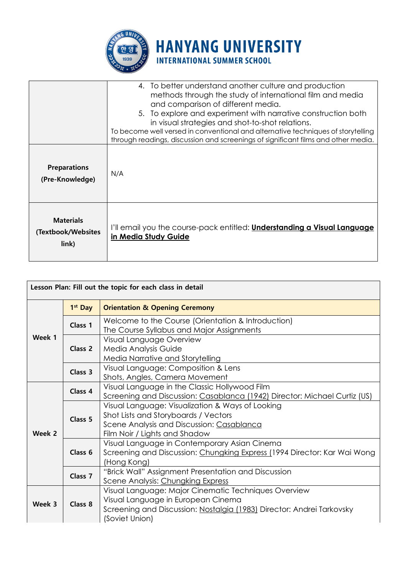

|                                                 | 4. To better understand another culture and production<br>methods through the study of international film and media<br>and comparison of different media.<br>5. To explore and experiment with narrative construction both<br>in visual strategies and shot-to-shot relations.<br>To become well versed in conventional and alternative techniques of storytelling<br>through readings, discussion and screenings of significant films and other media. |
|-------------------------------------------------|---------------------------------------------------------------------------------------------------------------------------------------------------------------------------------------------------------------------------------------------------------------------------------------------------------------------------------------------------------------------------------------------------------------------------------------------------------|
| <b>Preparations</b><br>(Pre-Knowledge)          | N/A                                                                                                                                                                                                                                                                                                                                                                                                                                                     |
| <b>Materials</b><br>(Textbook/Websites<br>link) | I'll email you the course-pack entitled: <b>Understanding a Visual Language</b><br>in Media Study Guide                                                                                                                                                                                                                                                                                                                                                 |

**HANYANG UNIVERSITY** 

**INTERNATIONAL SUMMER SCHOOL** 

| Lesson Plan: Fill out the topic for each class in detail |                     |                                                                                                                                                                                       |  |  |  |  |  |
|----------------------------------------------------------|---------------------|---------------------------------------------------------------------------------------------------------------------------------------------------------------------------------------|--|--|--|--|--|
|                                                          | 1 <sup>st</sup> Day | <b>Orientation &amp; Opening Ceremony</b>                                                                                                                                             |  |  |  |  |  |
| Week 1                                                   | Class 1             | Welcome to the Course (Orientation & Introduction)<br>The Course Syllabus and Major Assignments                                                                                       |  |  |  |  |  |
|                                                          | Class 2             | Visual Language Overview<br>Media Analysis Guide<br>Media Narrative and Storytelling                                                                                                  |  |  |  |  |  |
|                                                          | Class 3             | Visual Language: Composition & Lens<br>Shots, Angles, Camera Movement                                                                                                                 |  |  |  |  |  |
| Week 2                                                   | Class 4             | Visual Language in the Classic Hollywood Film<br>Screening and Discussion: Casablanca (1942) Director: Michael Curtiz (US)                                                            |  |  |  |  |  |
|                                                          | Class 5             | Visual Language: Visualization & Ways of Looking<br>Shot Lists and Storyboards / Vectors<br>Scene Analysis and Discussion: Casablanca<br>Film Noir / Lights and Shadow                |  |  |  |  |  |
|                                                          | Class <sub>6</sub>  | Visual Language in Contemporary Asian Cinema<br>Screening and Discussion: Chungking Express (1994 Director: Kar Wai Wong<br>(Hong Kong)                                               |  |  |  |  |  |
|                                                          | Class <sub>7</sub>  | "Brick Wall" Assignment Presentation and Discussion<br>Scene Analysis: Chungking Express                                                                                              |  |  |  |  |  |
| Week 3                                                   | Class 8             | Visual Language: Major Cinematic Techniques Overview<br>Visual Language in European Cinema<br>Screening and Discussion: Nostalgia (1983) Director: Andrei Tarkovsky<br>(Soviet Union) |  |  |  |  |  |